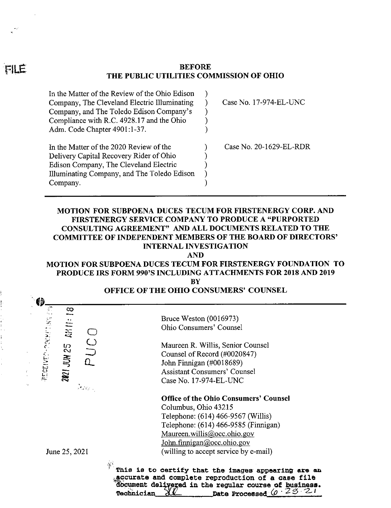#### **BEFORE THE PUBLIC UTILITIES COMMISSION OF OHIO**

| In the Matter of the Review of the Ohio Edison          |                         |
|---------------------------------------------------------|-------------------------|
| Company, The Cleveland Electric Illuminating            | Case No. 17-974-EL-UNC  |
| Company, and The Toledo Edison Company's                |                         |
| Compliance with R.C. 4928.17 and the Ohio               |                         |
| Adm. Code Chapter 4901:1-37.                            |                         |
|                                                         |                         |
|                                                         |                         |
| In the Matter of the 2020 Review of the                 | Case No. 20-1629-EL-RDR |
| Delivery Capital Recovery Rider of Ohio                 |                         |
| Edison Company, The Cleveland Electric                  |                         |
|                                                         |                         |
| Illuminating Company, and The Toledo Edison<br>Company. |                         |

# **MOTION FOR SUBPOENA DUCES TECUM FOR FIRSTENERGY CORP. AND FIRSTENERGY SERVICE COMPANY TO PRODUCE A "PURPORTED CONSULTING AGREEMENT" AND ALL DOCUMENTS RELATED TO THE COMMITTEE OF INDEPENDENT MEMBERS OF THE BOARD OF DIRECTORS' INTERNAL INVESTIGATION**

**AND**

#### **MOTION FOR SUBPOENA DUCES TECUM FOR FIRSTENERGY FOUNDATION TO PRODUCE IRS FORM 990'S INCLUDING ATTACHMENTS FOR 2018 AND 2019 BY**

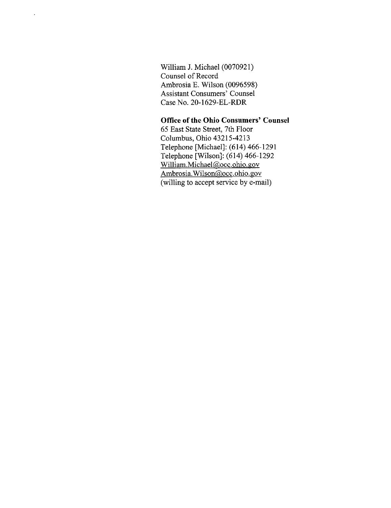William J. Michael (0070921) Counsel of Record Ambrosia E. Wilson (0096598) Assistant Consumers' Counsel Case No. 20-1629-EL-RDR

# **Office ofthe Ohio Consumers' Counsel**

65 East State Street, 7th Floor Columbus, Ohio 43215-4213 Telephone [Michael]; (614) 466-1291 Telephone [Wilson]: (614) 466-1292 William.Michael@occ.ohio.gov Ambrosia.WiIson@occ.ohio.gov (willing to accept service by e-mail)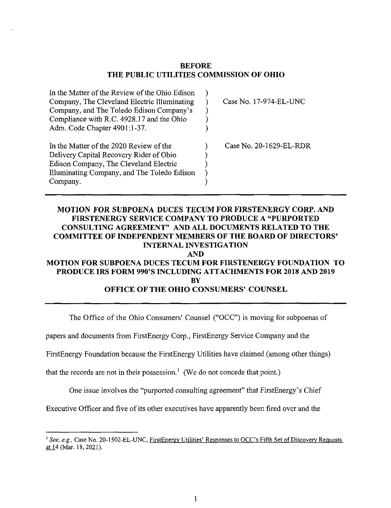#### **BEFORE THE PUBLIC UTILITIES COMMISSION OF OHIO**

| In the Matter of the Review of the Ohio Edison |                         |
|------------------------------------------------|-------------------------|
| Company, The Cleveland Electric Illuminating   | Case No. 17-974-EL-UNC  |
| Company, and The Toledo Edison Company's       |                         |
| Compliance with R.C. 4928.17 and the Ohio      |                         |
| Adm. Code Chapter 4901:1-37.                   |                         |
| In the Matter of the 2020 Review of the        | Case No. 20-1629-EL-RDR |
| Delivery Capital Recovery Rider of Ohio        |                         |
| Edison Company, The Cleveland Electric         |                         |
| Illuminating Company, and The Toledo Edison    |                         |
| Company.                                       |                         |

# **MOTION FOR SUBPOENA DUCES TECUM FOR FIRSTENERGY CORP. AND FIRSTENERGY SERVICE COMPANY TO PRODUCE A "PURPORTED CONSULTING AGREEMENT" AND ALL DOCUMENTS RELATED TO THE COMMITTEE OF INDEPENDENT MEMBERS OF THE BOARD OF DIRECTORS' INTERNAL INVESTIGATION AND MOTION FOR SUBPOENA DUCES TECUM FOR FIRSTENERGY FOUNDATION TO PRODUCE IRS FORM 990'S INCLUDING ATTACHMENTS FOR 2018 AND 2019**

**BY**

# **OFFICE OF THE OHIO CONSUMERS' COUNSEL**

The Office of the Ohio Consumers' Counsel ("OCC") is moving for subpoenas of

papers and documents from FirstEnergy Corp., FirstEnergy Service Company and the

FirstEnergy Foundation because the FirstEnergy Utilities have claimed (among other things)

that the records are not in their possession.<sup>1</sup> (We do not concede that point.)

One issue involves the "purported consulting agreement" that FirstEnergy's Chief

Executive Officer and five of its other executives have apparently been fired over and the

<sup>&#</sup>x27; See, e.g., Case No. 20-1502-EL-UNC, <u>FirstEnergy Utilities' Responses to OCC's Fifth Set of Discovery Requests</u> at 14 (Mar. 18, 2021).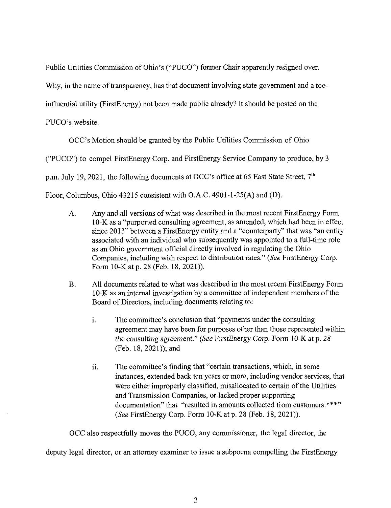Public Utilities Commission of Ohio's ("PUCO") former Chair apparently resigned over.

Why, in the name of transparency, has that document involving state government and a too-

influential utility (FirstEnergy) not been made public already? It should be posted on the

PUCO's website.

OCC's Motion should be granted by the Public Utilities Commission of Ohio

("PUCO") to compel FirstEnergy Corp. and FirstEnergy Service Company to produce, by <sup>3</sup>

p.m. July 19, 2021, the following documents at OCC's office at 65 East State Street,  $7<sup>th</sup>$ 

Floor, Columbus, Ohio 43215 consistent with O.A.C. 4901-1-25(A) and (D).

- A. Any and all versions ofwhat was described in the most recent FirstEnergy Form 10-K as a "purported consulting agreement, as amended, which had been in effect since 2013<sup>"</sup> between a FirstEnergy entity and a "counterparty" that was "an entity associated with an individual who subsequently was appointed to a full-time role as an Ohio government official directly involved in regulating the Ohio Companies, including with respect to distribution rates." (See FirstEnergy Corp. Form 10-K at p. 28 (Feb. 18, 2021)).
- B. All documents related to what was described in the most recent FirstEnergy Form 10-K as an internal investigation by a committee of independent members of the Board of Directors, including documents relating to:
	- i. The committee's conclusion that "payments under the consulting agreement may have been for purposes other than those represented within the consulting agreement." (See FirstEnergy Corp. Form 10-K at p. 28 (Feb. 18, 2021)); and
	- ii. The committee's finding that "certain transactions, which, in some instances, extended back ten years or more, including vendor services, that were either improperly classified, misallocated to certain of the Utilities and Transmission Companies, or lacked proper supporting documentation" that "resulted in amounts collected from customers.\*\*\*" (See FirstEnergy Corp. Form 10-K at p. 28 (Feb. 18, 2021)).

OCC also respectfully moves the PUCO, any commissioner, the legal director, the

deputy legal director, or an attorney examiner to issue a subpoena compelling the FirstEnergy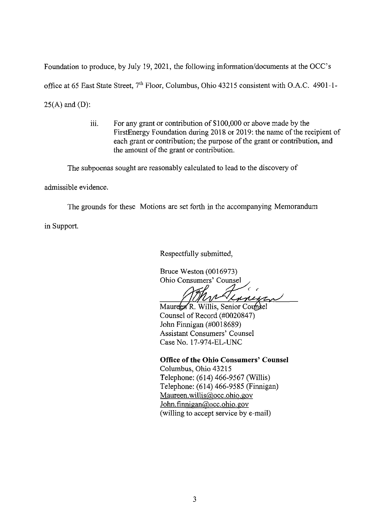Foundation to produce, by July 19, 2021, the following information/documents at the OCC's office at 65 East State Street, 7<sup>th</sup> Floor, Columbus, Ohio 43215 consistent with O.A.C. 4901-1- $25(A)$  and  $(D)$ :

> iii. For any grant or contribution of \$100,000 or above made by the FirstEnergy Foundation during 2018 or 2019: the name of the recipient of each grant or contribution; the purpose of the grant or contribution, and the amount of the grant or contribution.

The subpoenas sought are reasonably calculated to lead to the discovery of

admissible evidence.

The grounds for these Motions are set forth in the accompanying Memorandum

in Support.

Respectfully submitted,

Bruce Weston (0016973) Ohio Consumers' Counsel

Lunina

Maureen R. Willis, Senior Counsel Counsel of Record (#0020847) John Finnigan (#0018689) Assistant Consumers' Counsel Case No. 17-974-EL-UNC

# **Office ofthe Ohio Consumers' Counsel**

Columbus, Ohio 43215 Telephone: (614) 466-9567 (Willis) Telephone: (614) 466-9585 (Finnigan) Maureen.wilIis@occ.ohio.gov John.finnigan@occ.ohio.gov (willing to accept service by e-mail)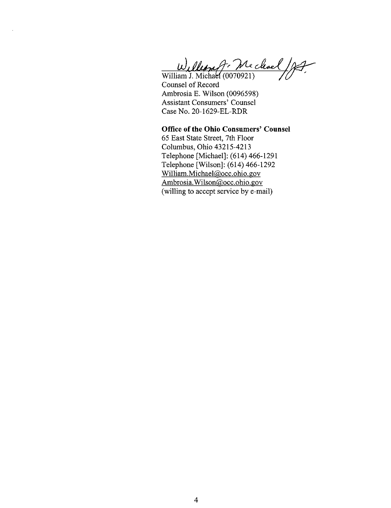William J. Michael 197

Counsel of Record Ambrosia E. Wilson (0096598) Assistant Consumers' Counsel Case No. 20-1629-EL-RDR

**Office ofthe Ohio Consumers' Counsel** 65 East State Street, 7th Floor Columbus, Ohio 43215-4213 Telephone [Michael]: (614) 466-1291 Telephone [Wilson]: (614) 466-1292 William.Michael@occ.ohio.gov Ambrosia.Wilson@occ.ohio.gov (willing to accept service by e-mail)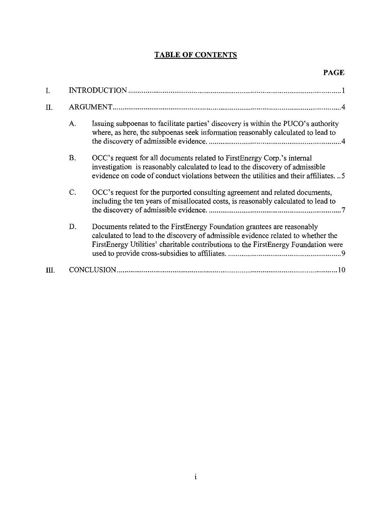# TABLE OF CONTENTS

| I.   |           |                                                                                                                                                                                                                                                    |  |
|------|-----------|----------------------------------------------------------------------------------------------------------------------------------------------------------------------------------------------------------------------------------------------------|--|
| II.  |           |                                                                                                                                                                                                                                                    |  |
|      | A.        | Issuing subpoenas to facilitate parties' discovery is within the PUCO's authority<br>where, as here, the subpoenas seek information reasonably calculated to lead to                                                                               |  |
|      | <b>B.</b> | OCC's request for all documents related to First Energy Corp.'s internal<br>investigation is reasonably calculated to lead to the discovery of admissible<br>evidence on code of conduct violations between the utilities and their affiliates5    |  |
|      | C.        | OCC's request for the purported consulting agreement and related documents,<br>including the ten years of misallocated costs, is reasonably calculated to lead to                                                                                  |  |
|      | D.        | Documents related to the FirstEnergy Foundation grantees are reasonably<br>calculated to lead to the discovery of admissible evidence related to whether the<br>FirstEnergy Utilities' charitable contributions to the FirstEnergy Foundation were |  |
| III. |           | 10                                                                                                                                                                                                                                                 |  |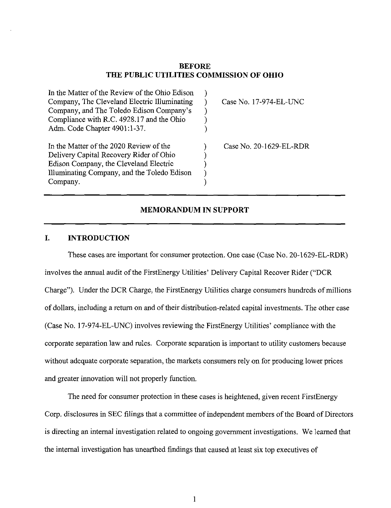#### **BEFORE THE PUBLIC UTILITIES COMMISSION OF OHIO**

| In the Matter of the Review of the Ohio Edison<br>Company, The Cleveland Electric Illuminating<br>Company, and The Toledo Edison Company's<br>Compliance with R.C. 4928.17 and the Ohio<br>Adm. Code Chapter 4901:1-37. | Case No. 17-974-EL-UNC  |
|-------------------------------------------------------------------------------------------------------------------------------------------------------------------------------------------------------------------------|-------------------------|
| In the Matter of the 2020 Review of the<br>Delivery Capital Recovery Rider of Ohio<br>Edison Company, the Cleveland Electric<br>Illuminating Company, and the Toledo Edison<br>Company.                                 | Case No. 20-1629-EL-RDR |

#### **MEMORANDUM IN SUPPORT**

### **I. INTRODUCTION**

These cases are important for consumer protection. One case (Case No. 20-1629-EL-RDR) involves the annual audit of the FirstEnergy Utilities' Delivery Capital Recover Rider ("DCR Charge"). Under the DCR Charge, the FirstEnergy Utilities charge consumers hundreds of millions of dollars, including a return on and of their distribution-related capital investments. The other case (Case No. 17-974-EL-UNC) involves reviewing the FirstEnergy Utilities' compliance with the corporate separation law and rules. Corporate separation is important to utility customers because without adequate corporate separation, the markets consumers rely on for producing lower prices and greater innovation will not properly function.

The need for consumer protection in these cases is heightened, given recent FirstEnergy Corp. disclosures in SEC filings that a committee of independent members of the Board of Directors is directing an internal investigation related to ongoing government investigations. We learned that the internal investigation has imearthed findings that caused at least six top executives of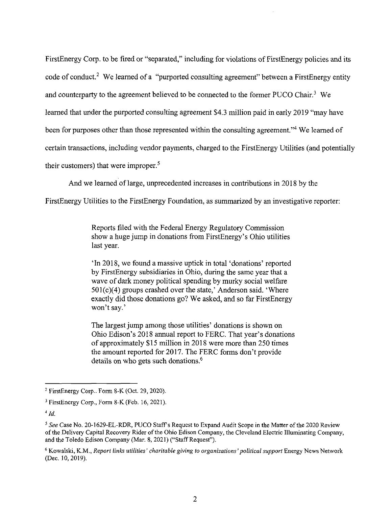FirstEnergy Corp. to be fired or "separated," including for violations of FirstEnergy policies and its code of conduct.<sup>2</sup> We learned of a "purported consulting agreement" between a FirstEnergy entity and counterparty to the agreement believed to be connected to the former PUCO Chair.<sup>3</sup> We learned that under the purported consulting agreement \$4.3 million paid in early 2019 "may have been for purposes other than those represented within the consulting agreement."<sup>4</sup> We learned of certain transactions, including vendor payments, charged to the FirstEnergy Utilities (and potentially their customers) that were improper. $5$ 

And we learned of large, unprecedented increases in contributions in 2018 by the

FirstEnergy Utilities to the FirstEnergy Foundation, as summarized by an investigative reporter:

Reports filed with the Federal Energy Regulatory Commission show a huge jump in donations from FirstEnergy's Ohio utilities last year.

'In 2018, we found a massive uptick in total 'donations' reported by FirstEnergy subsidiaries in Ohio, during the same year that a wave of dark money political spending by murky social welfare  $501(c)(4)$  groups crashed over the state,' Anderson said. 'Where exactly did those donations go? We asked, and so far FirstEnergy won't say.'

The largest jump among those utilities' donations is shown on Ohio Edison's 2018 annual report to FERC. That year's donations of approximately \$15 million in 2018 were more than 250 times the amount reported for 2017. The FERC forms don't provide details on who gets such donations.<sup>6</sup>

 $2$  FirstEnergy Corp.. Form 8-K (Oct. 29, 2020).

 $3$  FirstEnergy Corp., Form 8-K (Feb. 16, 2021).

 $4$   $Id$ .

 $^5$  See Case No. 20-1629-EL-RDR, PUCO Staff's Request to Expand Audit Scope in the Matter of the 2020 Review ofthe Delivery Capital Recovery Rider ofthe Ohio Edison Company, the Cleveland Electric Illuminating Company, and the Toledo Edison Company (Mar. 8, 2021) ("Staff Request").

<sup>&</sup>lt;sup>6</sup> Kowalski, K.M., Report links utilities' charitable giving to organizations' political support Energy News Network (Dec. 10, 2019).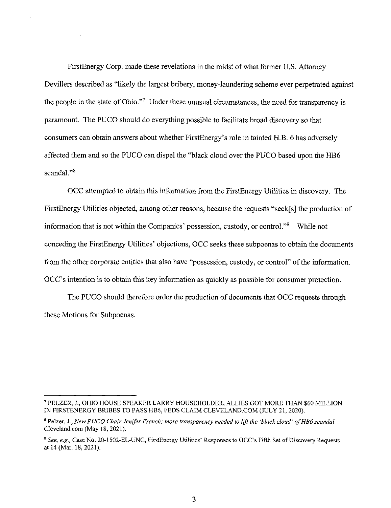FirstEnergy Corp. made these revelations in the midst ofwhat former U.S. Attorney Devillers described as "likely the largest bribery, money-laundering scheme ever perpetrated against the people in the state of Ohio."<sup>7</sup> Under these unusual circumstances, the need for transparency is paramount. The PUCO should do everything possible to facilitate broad discovery so that consumers can obtain answers about whether FirstEnergy's role in tainted H.B. 6 has adversely affected them and so the PUCO can dispel the "black cloud over the PUCO based upon the HB6 scandal."<sup>8</sup>

OCC attempted to obtain this information from the FirstEnergy Utilities in discovery. The FirstEnergy Utilities objected, among other reasons, because the requests "seek[s] the production of information that is not within the Companies' possession, custody, or control."<sup>9</sup> While not conceding the FirstEnergy Utilities' objections, OCC seeks these subpoenas to obtain the documents from the other corporate entities that also have "possession, custody, or control" of the information. OCC's intention is to obtain this key information as quickly as possible for consumer protection.

The PUCO should therefore order the production of documents that OCC requests through these Motions for Subpoenas.

<sup>&#</sup>x27; PELZER, J., OHIO HOUSE SPEAKER LARRY HOUSEHOLDER, ALLIES GOT MORE THAN \$60 MILLION IN FIRSTENERGY BRIBES TO PASS HB6, FEDS CLAIM CLEVELAND.COM (JULY 21,2020).

<sup>&</sup>lt;sup>8</sup> Pelzer, J., New PUCO Chair Jenifer French: more transparency needed to lift the 'black cloud' of HB6 scandal CIeveland.com (May 18, 2021).

<sup>&</sup>lt;sup>9</sup> See, e.g., Case No. 20-1502-EL-UNC, FirstEnergy Utilities' Responses to OCC's Fifth Set of Discovery Requests at 14 (Mar. 18, 2021).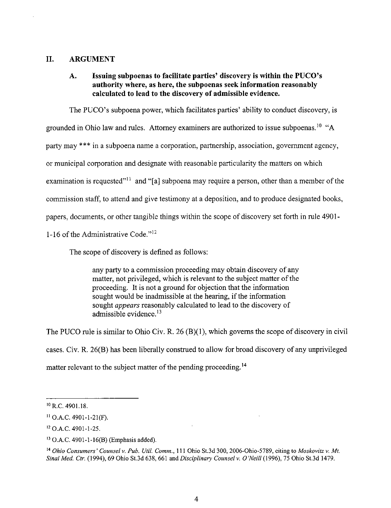#### **II. ARGUMENT**

## **A. Issuing subpoenas to facilitate parties' discovery is within the PUCO's authority where, as here, the subpoenas seek information reasonably calculated to lead to the discovery of admissible evidence.**

The PUCO's subpoena power, which facilitates parties' ability to conduct discovery, is

grounded in Ohio law and rules. Attorney examiners are authorized to issue subpoenas.<sup>10</sup> "A

party may \*\*\* in a subpoena name a corporation, partnership, association, government agency,

or municipal corporation and designate with reasonable particularity the matters on which

examination is requested"<sup>11</sup> and "[a] subpoena may require a person, other than a member of the

commission staff, to attend and give testimony at a deposition, and to produce designated books,

papers, documents, or other tangible things within the scope of discovery set forth in rule 4901-

1-16 of the Administrative Code." $^{12}$ 

The scope of discovery is defined as follows:

any party to a commission proceeding may obtain discovery of any matter, not privileged, which is relevant to the subject matter of the proceeding. It is not a ground for objection that the information sought would be inadmissible at the hearing, if the information sought *appears* reasonably calculated to lead to the discovery of admissible evidence. $13$ 

The PUCO rule is similar to Ohio Civ. R. 26  $(B)(1)$ , which governs the scope of discovery in civil cases. Civ. R. 26(B) has been liberally construed to allow for broad discovery of any unprivileged matter relevant to the subject matter of the pending proceeding.<sup>14</sup>

 $^{10}$  R.C. 4901.18.

 $11$  O.A.C. 4901-1-21(F).

<sup>&</sup>lt;sup>12</sup> O.A.C. 4901-1-25.

<sup>&</sup>lt;sup>13</sup> O.A.C. 4901-1-16(B) (Emphasis added).

<sup>&</sup>lt;sup>14</sup> Ohio Consumers' Counsel v. Pub. Util. Comm., 111 Ohio St.3d 300, 2006-Ohio-5789, citing to Moskovitz v. Mt. Sinai Med. Ctr. (1994), 69 Ohio St.3d 638, 661 and Disciplinary Counsel v. O'Neill (1996), 75 Ohio St.3d 1479.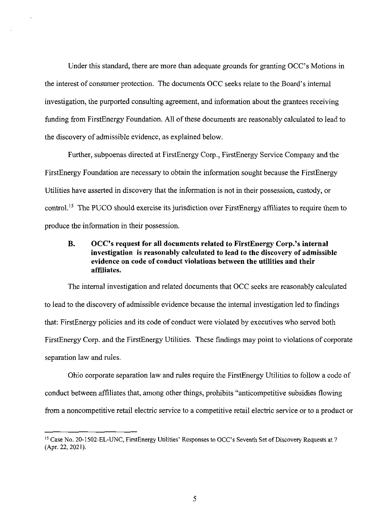Under this standard, there are more than adequate grounds for granting OCC's Motions in the interest of consumer protection. The documents OCC seeks relate to the Board's internal investigation, the purported consulting agreement, and information about the grantees receiving funding from FirstEnergy Foundation. All of these documents are reasonably calculated to lead to the discovery of admissible evidence, as explained below.

Further, subpoenas directed at FirstEnergy Corp., FirstEnergy Service Company and the FirstEnergy Foundation are necessary to obtain the information sought because the FirstEnergy Utilities have asserted in discovery that the information is not in their possession, custody, or control.<sup>15</sup> The PUCO should exercise its jurisdiction over FirstEnergy affiliates to require them to produce the information in their possession.

## **B. OCC's request for all documents related to FirstEnergy Corp.'s internal** investigation is reasonably calculated to lead to the discovery of admissible evidence on code of conduct violations between the utilities and their affiliates.

The internal investigation and related documents that OCC seeks are reasonably calculated to lead to the discovery of admissible evidence because the internal investigation led to findings that: First Energy policies and its code of conduct were violated by executives who served both FirstEnergy Corp. and the FirstEnergy Utilities. These findings may point to violations of corporate separation law and rules.

Ohio corporate separation law and rules require the FirstEnergy Utilities to follow a code of conduct between affiliates that, among other things, prohibits "anticompetitive subsidies flowing from a noncompetitive retail electric service to a competitive retail electric service or to a product or

<sup>&</sup>lt;sup>15</sup> Case No. 20-1502-EL-UNC, FirstEnergy Utilities' Responses to OCC's Seventh Set of Discovery Requests at 7 (Apr. 22, 2021).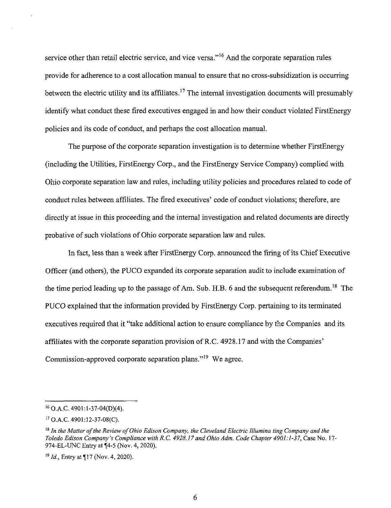service other than retail electric service, and vice versa."<sup>16</sup> And the corporate separation rules provide for adherence to a cost allocation manual to ensure that no cross-subsidization is occurring between the electric utility and its affiliates.<sup>17</sup> The internal investigation documents will presumably identify what conduct these fired executives engaged in and how their conduct violated FirstEnergy policies and its code of conduct, and perhaps the cost allocation manual.

The purpose of the corporate separation investigation is to determine whether FirstEnergy (including the Utilities, FirstEnergy Corp., and the FirstEnergy Service Company) complied with Ohio corporate separation law and rules, including utility policies and procedures related to code of conduct rules between affiliates. The fired executives' code of conduct violations; therefore, are directly at issue in this proceeding and the internal investigation and related documents are directly probative of such violations of Ohio corporate separation law and rules.

In fact, less than a week after FirstEnergy Corp. announced the firing of its Chief Executive Officer (and others), the PUCO expanded its corporate separation audit to include examination of the time period leading up to the passage of Am. Sub. H.B. 6 and the subsequent referendum.<sup>18</sup> The PUCO explained that the information provided by FirstEnergy Corp. pertaining to its terminated executives required that it "take additional action to ensure compliance by the Companies and its affiliates with the corporate separation provision ofR.C. 4928.17 and with the Companies' Commission-approved corporate separation plans."<sup>19</sup> We agree.

 $16$  O.A.C. 4901:1-37-04(D)(4).

<sup>&#</sup>x27;'O.A.C. 4901:12-37-08(C).

 $18$  In the Matter of the Review of Ohio Edison Company, the Cleveland Electric Illumina ting Company and the Toledo Edison Company's Compliance with R.C. 4928.17 and Ohio Adm. Code Chapter 4901:1-37, Case No. 17- 974-EL-UNC Entry at f4-5 (Nov. 4, 2020).

 $19$  *Id.*, Entry at  $\P$ 17 (Nov. 4, 2020).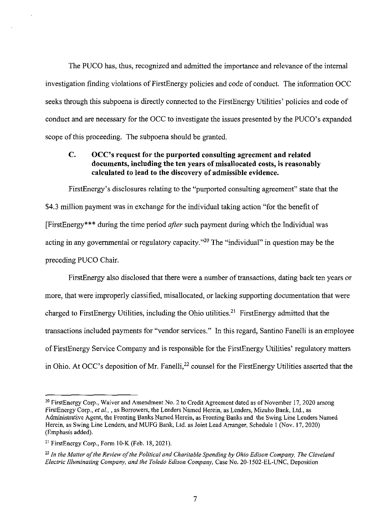The PUCO has, thus, recognized and admitted the importance and relevance ofthe internal investigation finding violations of FirstEnergy policies and code of conduct. The information OCC seeks through this subpoena is directly connected to the FirstEnergy Utilities' policies and code of conduct and are necessary for the OCC to investigate the issues presented by the PUCO's expanded scope of this proceeding. The subpoena should be granted.

# **C. OCC's request for the purported consulting agreement and related documents, including the ten years of misallocated costs, is reasonably calculated to lead to the discovery of admissible evidence.**

FirstEnergy's disclosures relating to the "purported consulting agreement" state that the \$4.3 million payment was in exchange for the individual taking action "for the benefit of [FirstEnergy\*\*\* during the time period after such payment during which the Individual was acting in any governmental or regulatory capacity."<sup>20</sup> The "individual" in question may be the preceding PUCO Chair.

FirstEnergy also disclosed that there were a number of transactions, dating back ten years or more, that were improperly classified, misallocated, or lacking supporting documentation that were charged to FirstEnergy Utilities, including the Ohio utilities.<sup>21</sup> FirstEnergy admitted that the transactions included payments for "vendor services." In this regard, Santino Fanelli is an employee of FirstEnergy Service Company and is responsible for the FirstEnergy Utilities' regulatory matters in Ohio. At OCC's deposition of Mr. Fanelli,<sup>22</sup> counsel for the FirstEnergy Utilities asserted that the

<sup>&</sup>lt;sup>20</sup> FirstEnergy Corp., Waiver and Amendment No. 2 to Credit Agreement dated as of November 17, 2020 among FirstEnergy Corp., et al.,, as Borrowers, the Lenders Named Herein, as Lenders, Mizuho Bank, Ltd., as Administrative Agent, the Fronting Banks Named Herein, as Fronting Banks and the Swing Line Lenders Named Herein, as Swing Line Lenders, and MUFG Bank, Ltd. as Joint Lead Arranger, Schedule <sup>1</sup> (Nov. 17, 2020) (Emphasis added).

<sup>&</sup>lt;sup>21</sup> FirstEnergy Corp., Form 10-K (Feb. 18, 2021).

 $12^{2}$  In the Matter of the Review of the Political and Charitable Spending by Ohio Edison Company, The Cleveland Electric Illuminating Company, and the Toledo Edison Company, Case No. 20-1502-EL-UNC, Deposition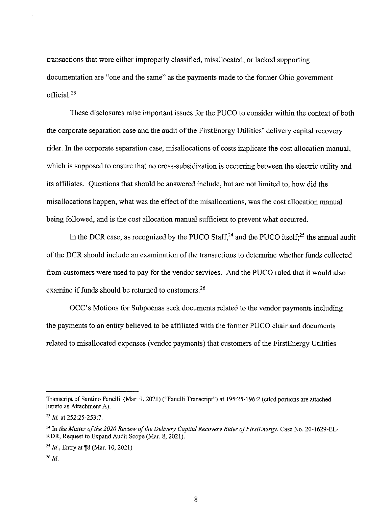transactions that were either improperly classified, misallocated, or lacked supporting documentation are "one and the same" as the payments made to the former Ohio government official. $^{23}$ 

These disclosures raise important issues for the PUCO to consider within the context of both the corporate separation case and the audit of the FirstEnergy Utilities' delivery capital recovery rider. In the corporate separation case, misallocations of costs implicate the cost allocation manual, which is supposed to ensure that no cross-subsidization is occurring between the electric utility and its affiliates. Questions that should be answered include, but are not limited to, how did the misallocations happen, what was the effect of the misallocations, was the cost allocation manual being followed, and is the cost allocation manual sufficient to prevent what occurred.

In the DCR case, as recognized by the PUCO Staff, $24$  and the PUCO itself; $25$  the annual audit of the DCR should include an examination of the transactions to determine whether funds collected from customers were used to pay for the vendor services. And the PUCO ruled that it would also examine if funds should be returned to customers. $26$ 

OCC's Motions for Subpoenas seek documents related to the vendor payments including the payments to an entity believed to be affiliated with the former PUCO chair and documents related to misallocated expenses (vendor payments) that customers of the FirstEnergy Utilities

Transcript of Santino Fanelli (Mar. 9, 2021) ("Fanelli Transcript") at 195:25-196:2 (cited portions are attached hereto as Attachment A).

 $^{23}$  *Id.* at 252:25-253:7.

<sup>&</sup>lt;sup>24</sup> In the Matter of the 2020 Review of the Delivery Capital Recovery Rider of FirstEnergy, Case No. 20-1629-EL-RDR, Request to Expand Audit Scope (Mar. 8, 2021).

<sup>&</sup>lt;sup>25</sup> *Id.*, Entry at **[8** (Mar. 10, 2021)

 $^{26}$  *Id.*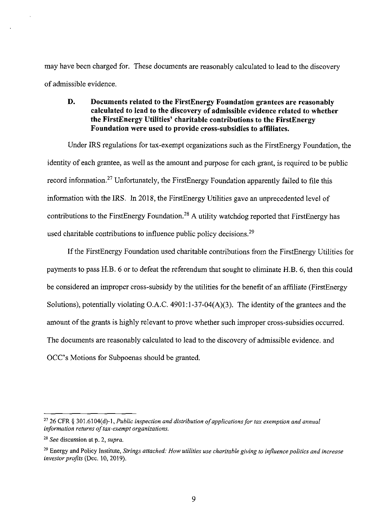may have been charged for. These documents are reasonably calculated to lead to the discovery ofadmissible evidence.

# **D. Documents related to the FirstEnergy Foundation grantees are reasonably calculated to lead to the discovery of admissible evidence related to whether the FirstEnergy Utilities' charitable contributions to the FirstEnergy Foundation were used to provide cross-subsidies to affiliates.**

Under IRS regulations for tax-exempt organizations such as the FirstEnergy Foundation, the identity of each grantee, as well as the amount and purpose for each grant, is required to be public record information.<sup>27</sup> Unfortunately, the FirstEnergy Foundation apparently failed to file this information with the IRS. In 2018, the FirstEnergy Utilities gave an unprecedented level of contributions to the FirstEnergy Foundation.<sup>28</sup> A utility watchdog reported that FirstEnergy has used charitable contributions to influence public policy decisions.<sup>29</sup>

If the FirstEnergy Foundation used charitable contributions from the FirstEnergy Utilities for payments to pass H.B. 6 or to defeat the referendum that sought to eliminate H.B. 6, then this could be considered an improper cross-subsidy by the utilities for the benefit of an affiliate (FirstEnergy Solutions), potentially violating O.A.C.  $4901:1-37-04(A)(3)$ . The identity of the grantees and the amount of the grants is highly relevant to prove whether such improper cross-subsidies occurred. The documents are reasonably calculated to lead to the discovery of admissible evidence, and OCC's Motions for Subpoenas should be granted.

*<sup>26</sup> CFR § 301.6104(d)-U Pub/ic inspection and distribution ofapplicationsfortax exemption and annual information returns of tax-exempt organizations.* 

*See discussion at p. 2, supra.*

<sup>&</sup>lt;sup>29</sup> Energy and Policy Institute, Strings attached: How utilities use charitable giving to influence politics and increase investor profits (Dec. 10, 2019).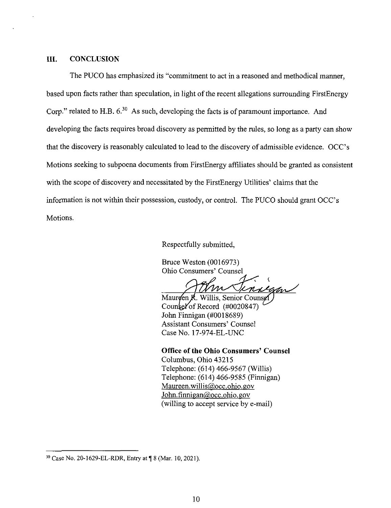#### III. CONCLUSION

The PUCO has emphasized its "commitment to act in a reasoned and methodical manner, based upon facts rather than speculation, in light of the recent allegations surrounding FirstEnergy Corp." related to H.B.  $6^{30}$  As such, developing the facts is of paramount importance. And developing the facts requires broad discovery as permitted by the rules, so long as a party can show that the discovery is reasonably calculated to lead to the discovery of admissible evidence. OCC's Motions seeking to subpoena documents from FirstEnergy affiliates should be granted as consistent with the scope of discovery and necessitated by the FirstEnergy Utilities' claims that the information is not within their possession, custody, or control. The PUCO should grant OCC's Motions.

Respectfully submitted,

Bruce Weston (0016973) Ohio Consumers' Counsel

Mauroen R. Willis, Senior Counsel John Finnigan (#0018689) Assistant Consumers' Counsel Case No. 17-974-EL-UNC

**Office ofthe Ohio Consumers' Counsel** Columbus, Ohio 43215 Telephone; (614) 466-9567 (Willis) Telephone: (614) 466-9585 (Finnigan) Maureen,willis@occ.ohio. gov John.finnigan@occ.ohio.gov (willing to accept service by e-mail)

 $30$  Case No. 20-1629-EL-RDR, Entry at  $\sqrt{9}$  8 (Mar. 10, 2021).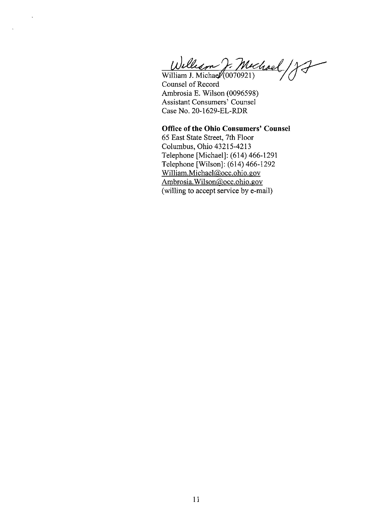*Uj*

William J. Michae $\mathcal{V}(0070921)$ Counsel of Record Ambrosia E. Wilson (0096598) Assistant Consumers' Counsel Case No. 20-1629-EL-RDR

 $\ddot{\phantom{1}}$ 

**Office ofthe Ohio Consumers' Counsel** 65 East State Street, 7th Floor Columbus, Ohio 43215-4213 Telephone [Michael]: (614) 466-1291 Telephone [Wilson]: (614) 466-1292 William.Michael@occ.ohio.gov Ambrosia.Wilson@occ.ohio.gov (willing to accept service by e-mail)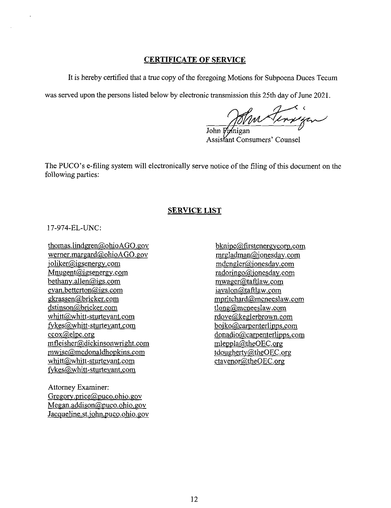# **CERTIFICATE OF SERVICE**

It is hereby certified that a true copy of the foregoing Motions for Subpoena Duces Tecum

was served upon the persons listed below by electronic transmission this 25th day of June 2021.

John Finnigan

Assistant Consumers' Counsel

The PUCO's e-filing system will electronically serve notice of the filing of this document on the following parties:

## **SERVICE LIST**

17-974-EL-UNC:

thomas.lindgren@ohioAGO.gov wemer.margard@ohioAGO.gov ioliker@igsenergv.com Mnugent@igsenergv.com bethanv.allen@igs.com cvan.betterton@igs.com gkrassen@bricker.com dstinson@bricker.com whitt@whitt-sturtevant.com fvkes@whitt-sturtevant.com ccox@elpc.org mfleisher@dickinsonwright.com mwise@mcdonaldhonkins.com whitt@whitt-sturtevant.com fvkes@whitt-sturtevant.com

Attorney Examiner: Gregorv.price@puco.ohio.gov Megan.addison@puco.ohio.gov Jacqueline.st.iohn.puco.ohio.gov

bknipe@,firstenergvcorp.com mrgladman@ionesdav.com mdengler@ionesdav.com radoringo@ionesdav.com mwagcr@taftlaw.com iavalon@taftlaw.com mpritchard@mcneeslaw.com tlong@mcneeslaw.com rdove@keglerbrown.com boiko@carpenterlipps.com donadio@carpenterlipps.com mleppla@theOEC.org tdoughertv@theOEC.org ctavenor@theOEC.org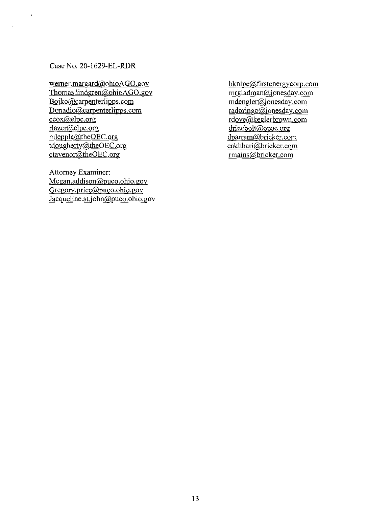Case No. 20-1629-EL-RDR

werner.margard@ohioAGO.gov Thomas.lindgren@ohioAGO.gov Boiko@carpenterIipps.com Donadio@carpenterlipps.com ccox@elpc.org rlazer@elpc.org mleppla@theOEC.org tdougherty@theOEC.org ctavenor@theOEC.org

Attorney Examiner: Megan.addison@puco.ohio. gov Gregorv.price@puco.ohio.gov Jacqueline.st.john@puco.ohio.gov

bknipe@firstenergvcorp. com mrgladman@ionesdav.com mdengler@ionesdav.com radoringo@ionesdav.com rdove@keglerbrown.com drinebolt@opae.org dparram@bricker.com eakhbari@bricker.com rmains@bricker.com

 $\mathcal{A}^{\mathcal{A}}$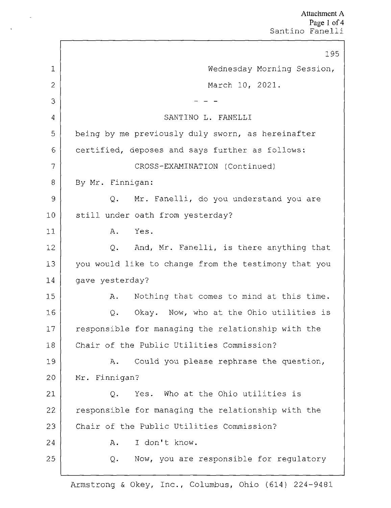|                | 195                                                  |
|----------------|------------------------------------------------------|
| $\mathbf{1}$   | Wednesday Morning Session,                           |
| $\overline{2}$ | March 10, 2021.                                      |
| 3              |                                                      |
| $\overline{4}$ | SANTINO L. FANELLI                                   |
| 5              | being by me previously duly sworn, as hereinafter    |
| 6              | certified, deposes and says further as follows:      |
| 7              | CROSS-EXAMINATION (Continued)                        |
| 8              | By Mr. Finnigan:                                     |
| 9              | Mr. Fanelli, do you understand you are<br>Q.         |
| 10             | still under oath from yesterday?                     |
| 11             | Yes.<br>Α.                                           |
| 12             | And, Mr. Fanelli, is there anything that<br>Q.       |
| 13             | you would like to change from the testimony that you |
| 14             | gave yesterday?                                      |
| 15             | Nothing that comes to mind at this time.<br>Α.       |
| 16             | Okay. Now, who at the Ohio utilities is<br>Q.        |
| 17             | responsible for managing the relationship with the   |
| 18             | Chair of the Public Utilities Commission?            |
| 19             | Could you please rephrase the question,<br>Α.        |
| 20             | Mr. Finnigan?                                        |
| 21             | Yes. Who at the Ohio utilities is<br>Q.              |
| 22             | responsible for managing the relationship with the   |
| 23             | Chair of the Public Utilities Commission?            |
| 24             | I don't know.<br>Α.                                  |
| 25             | Now, you are responsible for regulatory<br>Q.        |
|                |                                                      |

Armstrong & Okey, Inc., Columbus, Ohio (614) 224-9481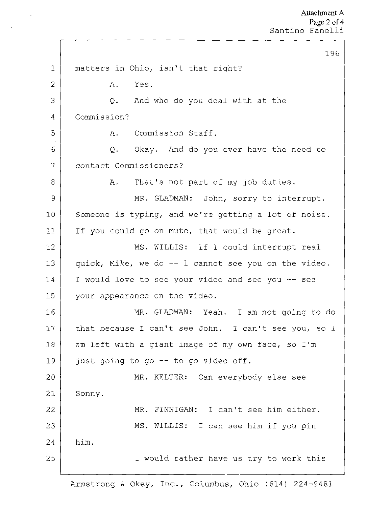7 2 3 1 5 6 7 Ĭ, 9 10 11 12 13 14 15 16 17 18 19 20 21 22 23 24 25 196 matters in Ohio, isn't that right? A. Yes. Q. And who do you deal with at the Commission? A. Commission Staff. Q. Okay. And do you ever have the need to contact Commissioners? A. That's not part of my job duties. MR. GLADMAN: John, sorry to interrupt. Someone is typing, and we're getting <sup>a</sup> lot of noise. If you could go on mute, that would be great. MS. WILLIS: If I could interrupt real quick, Mike, we do -- I cannot see you on the video. I would love to see your video and see you -- see your appearance on the video. MR. GLADMAN: Yeah. I am not going to do that because I can't see John. I can't see you, so I am left with <sup>a</sup> giant image of my own face, so I'm just going to go -- to go video off. MR. KELTER: Can everybody else see Sonny. him. MR. FINNIGAN: I can't see him either. MS. WILLIS: <sup>I</sup> can see him if you pin I would rather have us try to work this

Armstrong & Okey, Inc., Columbus, Ohio (614) 224-9481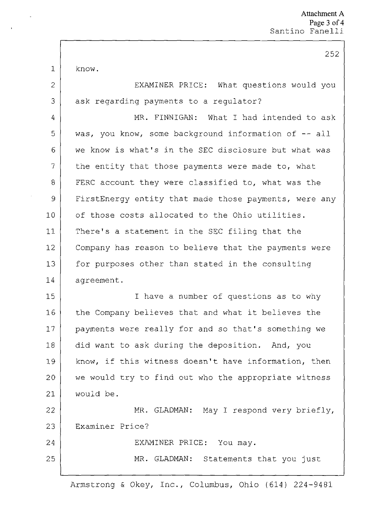t, know.

2

3

24

25

EXAMINER PRICE; What questions would you ask regarding payments to <sup>a</sup> regulator?

7 5 6 7 Ĭ. 9 10 11 12 13 14 MR. FINNIGAN: What I had intended to ask was, you know, some background information of -- all we know is what's in the SEC disclosure but what was the entity that those payments were made to, what FERC account they were classified to, what was the FirstEnergy entity that made those payments, were any of those costs allocated to the Ohio utilities. There's <sup>a</sup> statement in the SEC filing that the Company has reason to believe that the payments were for purposes other than stated in the consulting agreement.

15 16 17 18 19 20 21 I have <sup>a</sup> number of questions as to why the Company believes that and what it believes the payments were really for and so that's something we did want to ask during the deposition. And, you know, if this witness doesn't have Information, then we would try to find out who the appropriate witness would be.

22 23 MR. GLADMAN: May I respond very briefly. Examiner Price?

EXAMINER PRICE: You may.

MR. GLADMAN: Statements that you just

Armstrong & Okey, Inc., Columbus, Ohio (614) 224-9481

252